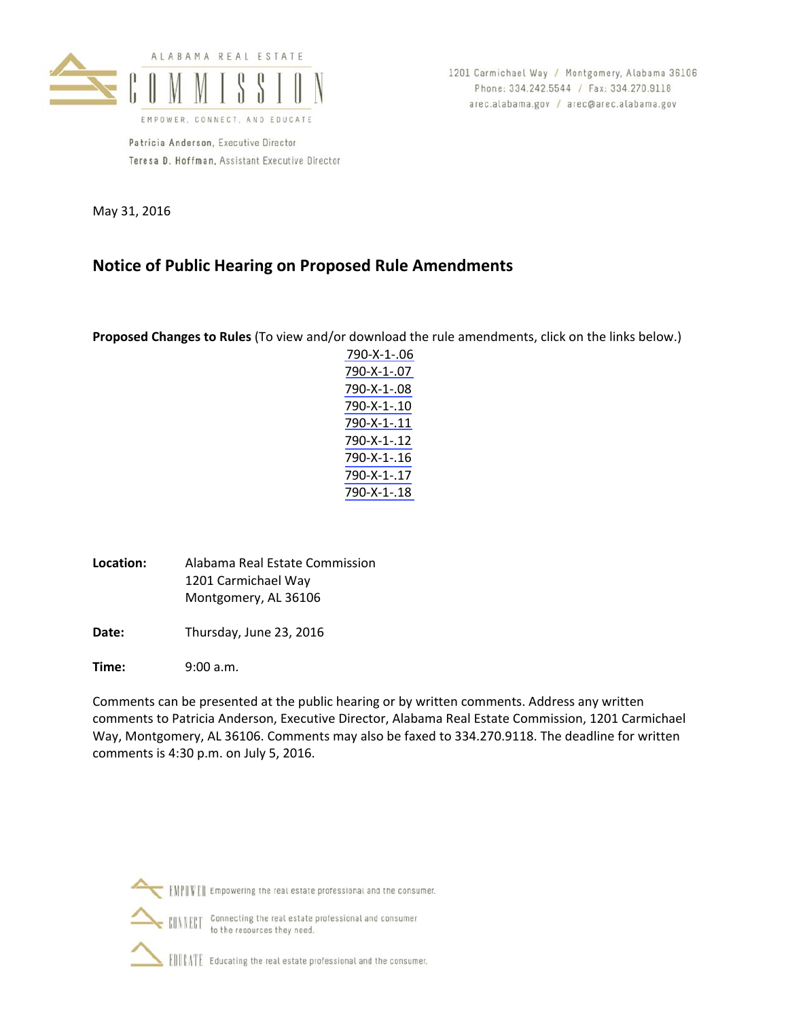

Patricia Anderson, Executive Director Teresa D. Hoffman, Assistant Executive Director 1201 Carmichael Way / Montgomery, Alabama 36106 Phone: 334.242.5544 / Fax: 334.270.9118 arec.alabama.gov / arec@arec.alabama.gov

May 31, 2016

# **Notice of Public Hearing on Proposed Rule Amendments**

**Proposed Changes to Rules** (To view and/or download the rule amendments, click on the links below.)

- [790](#page-1-0)‐X‐1‐.06 [790](#page-4-0)‐X‐1‐.07 [790](#page-6-0)‐X‐1‐.08 [790](#page-7-0)‐X‐1‐.10 [790](#page-10-0)‐X‐1‐.11 [790](#page-11-0)‐X‐1‐.12 [790](#page-13-0)‐X‐1‐.16 [790](#page-14-0)‐X‐1‐.17 [790](#page-16-0)‐X‐1‐.18
- **Location:** Alabama Real Estate Commission 1201 Carmichael Way Montgomery, AL 36106
- Date: Thursday, June 23, 2016

**Time:** 9:00 a.m.

Comments can be presented at the public hearing or by written comments. Address any written comments to Patricia Anderson, Executive Director, Alabama Real Estate Commission, 1201 Carmichael Way, Montgomery, AL 36106. Comments may also be faxed to 334.270.9118. The deadline for written comments is 4:30 p.m. on July 5, 2016.



Connecting the real estate professional and consumer **CONNECT** to the resources they need.

ENTER Educating the real estate professional and the consumer.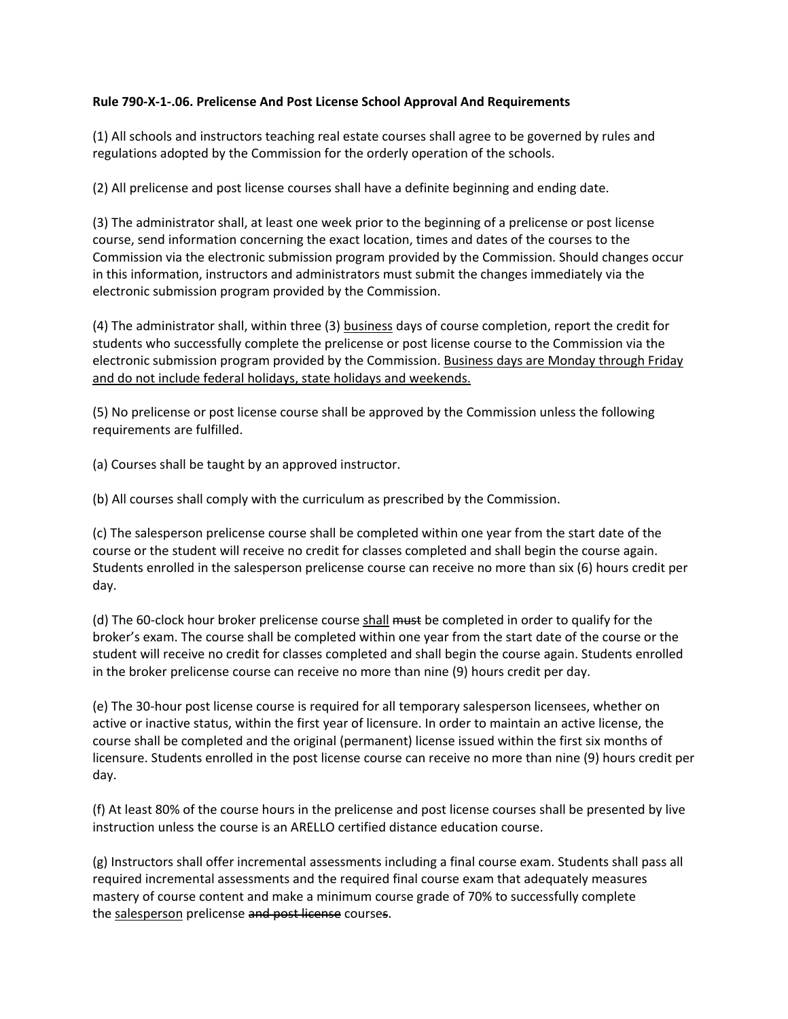### <span id="page-1-0"></span>**Rule 790-X-1-.06. Prelicense And Post License School Approval And Requirements**

(1) All schools and instructors teaching real estate courses shall agree to be governed by rules and regulations adopted by the Commission for the orderly operation of the schools.

(2) All prelicense and post license courses shall have a definite beginning and ending date.

(3) The administrator shall, at least one week prior to the beginning of a prelicense or post license course, send information concerning the exact location, times and dates of the courses to the Commission via the electronic submission program provided by the Commission. Should changes occur in this information, instructors and administrators must submit the changes immediately via the electronic submission program provided by the Commission.

(4) The administrator shall, within three (3) business days of course completion, report the credit for students who successfully complete the prelicense or post license course to the Commission via the electronic submission program provided by the Commission. Business days are Monday through Friday and do not include federal holidays, state holidays and weekends.

(5) No prelicense or post license course shall be approved by the Commission unless the following requirements are fulfilled.

(a) Courses shall be taught by an approved instructor.

(b) All courses shall comply with the curriculum as prescribed by the Commission.

(c) The salesperson prelicense course shall be completed within one year from the start date of the course or the student will receive no credit for classes completed and shall begin the course again. Students enrolled in the salesperson prelicense course can receive no more than six (6) hours credit per day.

(d) The 60-clock hour broker prelicense course shall must be completed in order to qualify for the broker's exam. The course shall be completed within one year from the start date of the course or the student will receive no credit for classes completed and shall begin the course again. Students enrolled in the broker prelicense course can receive no more than nine (9) hours credit per day.

(e) The 30-hour post license course is required for all temporary salesperson licensees, whether on active or inactive status, within the first year of licensure. In order to maintain an active license, the course shall be completed and the original (permanent) license issued within the first six months of licensure. Students enrolled in the post license course can receive no more than nine (9) hours credit per day.

(f) At least 80% of the course hours in the prelicense and post license courses shall be presented by live instruction unless the course is an ARELLO certified distance education course.

(g) Instructors shall offer incremental assessments including a final course exam. Students shall pass all required incremental assessments and the required final course exam that adequately measures mastery of course content and make a minimum course grade of 70% to successfully complete the salesperson prelicense and post license courses.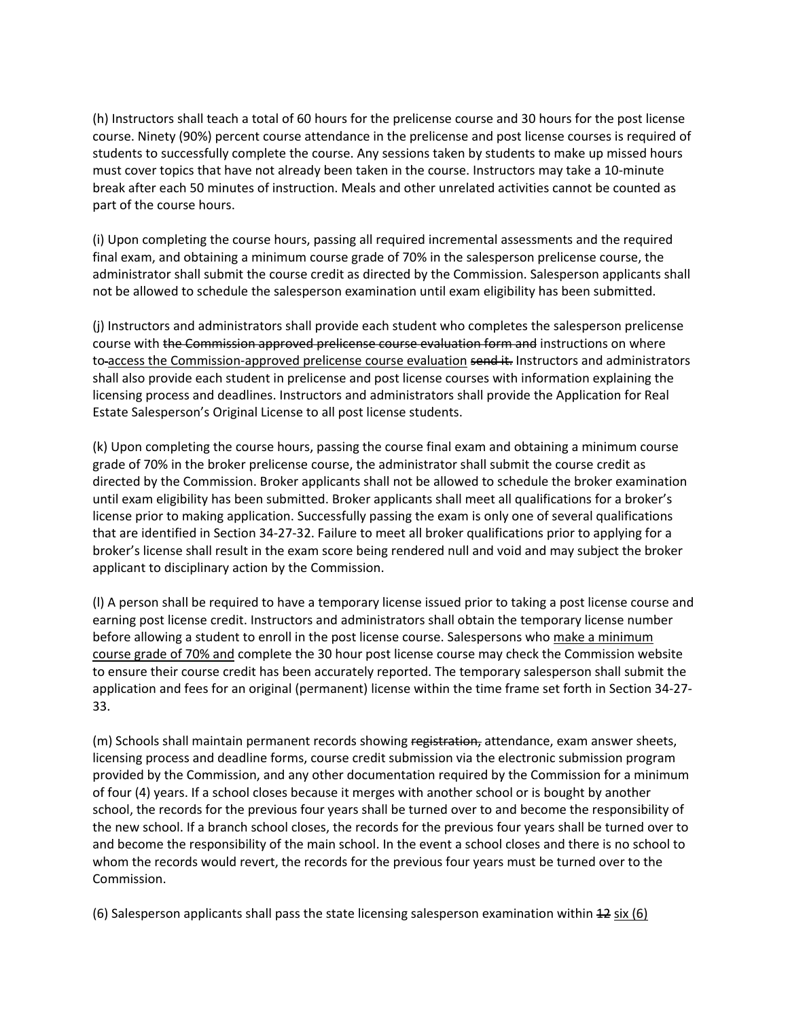(h) Instructors shall teach a total of 60 hours for the prelicense course and 30 hours for the post license course. Ninety (90%) percent course attendance in the prelicense and post license courses is required of students to successfully complete the course. Any sessions taken by students to make up missed hours must cover topics that have not already been taken in the course. Instructors may take a 10-minute break after each 50 minutes of instruction. Meals and other unrelated activities cannot be counted as part of the course hours.

(i) Upon completing the course hours, passing all required incremental assessments and the required final exam, and obtaining a minimum course grade of 70% in the salesperson prelicense course, the administrator shall submit the course credit as directed by the Commission. Salesperson applicants shall not be allowed to schedule the salesperson examination until exam eligibility has been submitted.

(j) Instructors and administrators shall provide each student who completes the salesperson prelicense course with the Commission approved prelicense course evaluation form and instructions on where to-access the Commission-approved prelicense course evaluation send it. Instructors and administrators shall also provide each student in prelicense and post license courses with information explaining the licensing process and deadlines. Instructors and administrators shall provide the Application for Real Estate Salesperson's Original License to all post license students.

(k) Upon completing the course hours, passing the course final exam and obtaining a minimum course grade of 70% in the broker prelicense course, the administrator shall submit the course credit as directed by the Commission. Broker applicants shall not be allowed to schedule the broker examination until exam eligibility has been submitted. Broker applicants shall meet all qualifications for a broker's license prior to making application. Successfully passing the exam is only one of several qualifications that are identified in Section 34-27-32. Failure to meet all broker qualifications prior to applying for a broker's license shall result in the exam score being rendered null and void and may subject the broker applicant to disciplinary action by the Commission.

(l) A person shall be required to have a temporary license issued prior to taking a post license course and earning post license credit. Instructors and administrators shall obtain the temporary license number before allowing a student to enroll in the post license course. Salespersons who make a minimum course grade of 70% and complete the 30 hour post license course may check the Commission website to ensure their course credit has been accurately reported. The temporary salesperson shall submit the application and fees for an original (permanent) license within the time frame set forth in Section 34-27- 33.

(m) Schools shall maintain permanent records showing registration, attendance, exam answer sheets, licensing process and deadline forms, course credit submission via the electronic submission program provided by the Commission, and any other documentation required by the Commission for a minimum of four (4) years. If a school closes because it merges with another school or is bought by another school, the records for the previous four years shall be turned over to and become the responsibility of the new school. If a branch school closes, the records for the previous four years shall be turned over to and become the responsibility of the main school. In the event a school closes and there is no school to whom the records would revert, the records for the previous four years must be turned over to the Commission.

(6) Salesperson applicants shall pass the state licensing salesperson examination within 12 six (6)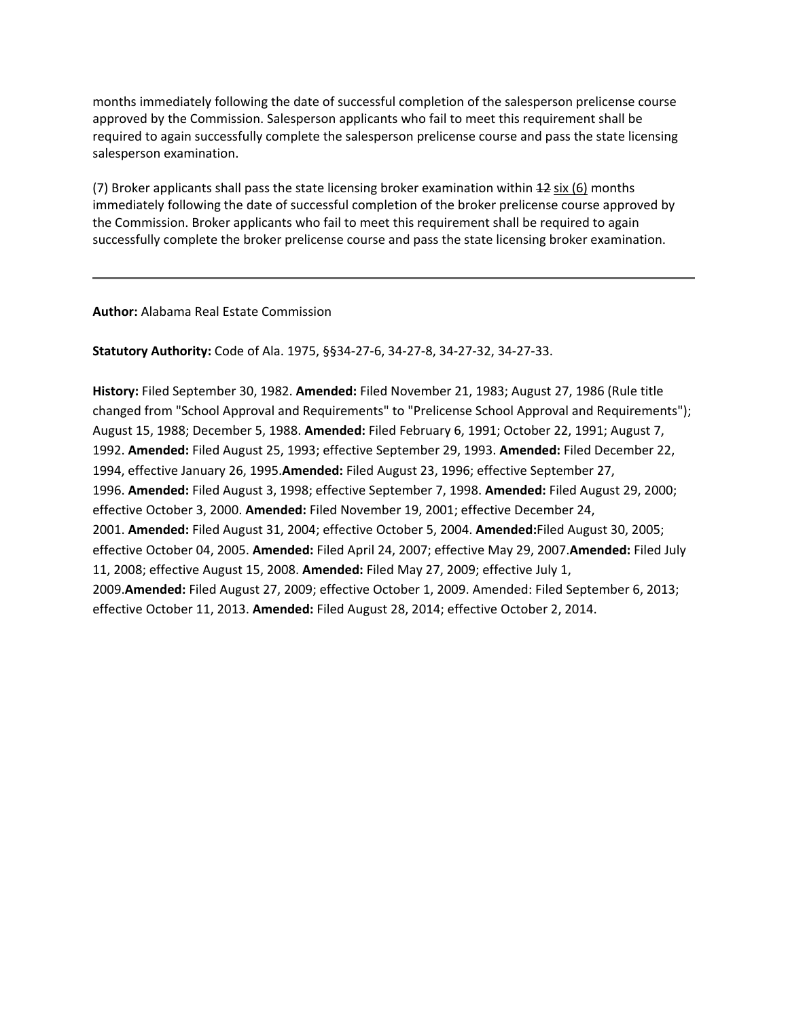months immediately following the date of successful completion of the salesperson prelicense course approved by the Commission. Salesperson applicants who fail to meet this requirement shall be required to again successfully complete the salesperson prelicense course and pass the state licensing salesperson examination.

(7) Broker applicants shall pass the state licensing broker examination within  $42$  six (6) months immediately following the date of successful completion of the broker prelicense course approved by the Commission. Broker applicants who fail to meet this requirement shall be required to again successfully complete the broker prelicense course and pass the state licensing broker examination.

**Author:** Alabama Real Estate Commission

**Statutory Authority:** Code of Ala. 1975, §§34-27-6, 34-27-8, 34-27-32, 34-27-33.

**History:** Filed September 30, 1982. **Amended:** Filed November 21, 1983; August 27, 1986 (Rule title changed from "School Approval and Requirements" to "Prelicense School Approval and Requirements"); August 15, 1988; December 5, 1988. **Amended:** Filed February 6, 1991; October 22, 1991; August 7, 1992. **Amended:** Filed August 25, 1993; effective September 29, 1993. **Amended:** Filed December 22, 1994, effective January 26, 1995.**Amended:** Filed August 23, 1996; effective September 27, 1996. **Amended:** Filed August 3, 1998; effective September 7, 1998. **Amended:** Filed August 29, 2000; effective October 3, 2000. **Amended:** Filed November 19, 2001; effective December 24, 2001. **Amended:** Filed August 31, 2004; effective October 5, 2004. **Amended:**Filed August 30, 2005; effective October 04, 2005. **Amended:** Filed April 24, 2007; effective May 29, 2007.**Amended:** Filed July 11, 2008; effective August 15, 2008. **Amended:** Filed May 27, 2009; effective July 1, 2009.**Amended:** Filed August 27, 2009; effective October 1, 2009. Amended: Filed September 6, 2013; effective October 11, 2013. **Amended:** Filed August 28, 2014; effective October 2, 2014.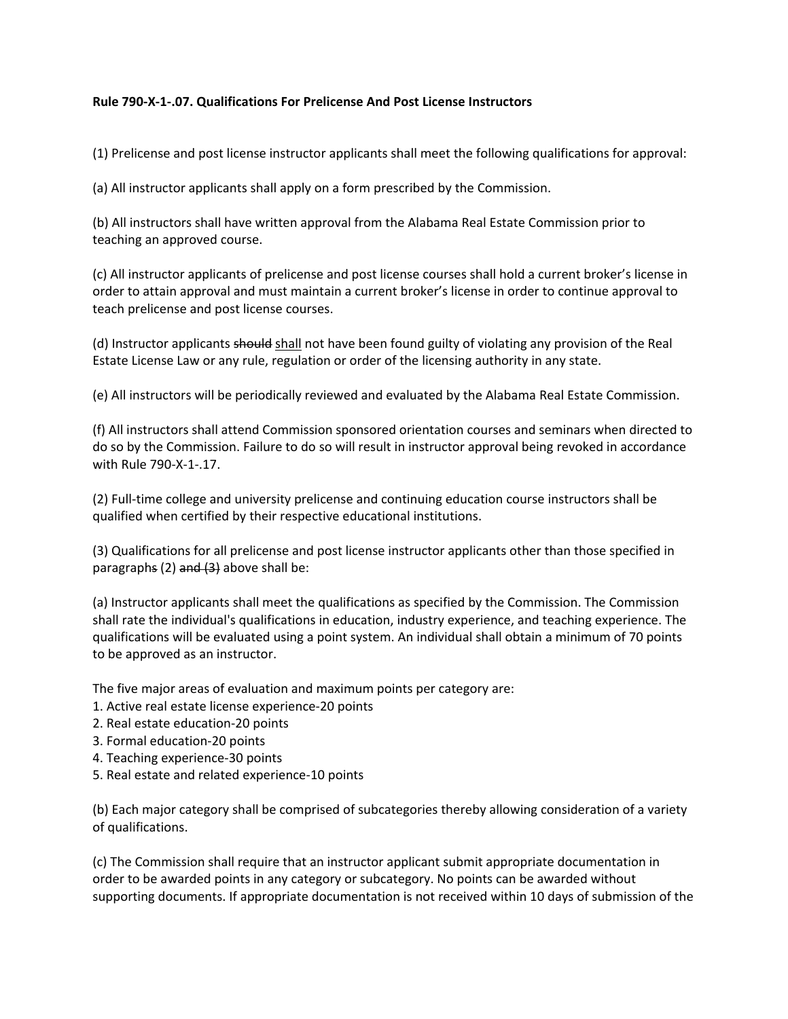## <span id="page-4-0"></span>**Rule 790-X-1-.07. Qualifications For Prelicense And Post License Instructors**

(1) Prelicense and post license instructor applicants shall meet the following qualifications for approval:

(a) All instructor applicants shall apply on a form prescribed by the Commission.

(b) All instructors shall have written approval from the Alabama Real Estate Commission prior to teaching an approved course.

(c) All instructor applicants of prelicense and post license courses shall hold a current broker's license in order to attain approval and must maintain a current broker's license in order to continue approval to teach prelicense and post license courses.

(d) Instructor applicants should shall not have been found guilty of violating any provision of the Real Estate License Law or any rule, regulation or order of the licensing authority in any state.

(e) All instructors will be periodically reviewed and evaluated by the Alabama Real Estate Commission.

(f) All instructors shall attend Commission sponsored orientation courses and seminars when directed to do so by the Commission. Failure to do so will result in instructor approval being revoked in accordance with Rule 790-X-1-.17.

(2) Full-time college and university prelicense and continuing education course instructors shall be qualified when certified by their respective educational institutions.

(3) Qualifications for all prelicense and post license instructor applicants other than those specified in paragraphs (2)  $\frac{1}{2}$  above shall be:

(a) Instructor applicants shall meet the qualifications as specified by the Commission. The Commission shall rate the individual's qualifications in education, industry experience, and teaching experience. The qualifications will be evaluated using a point system. An individual shall obtain a minimum of 70 points to be approved as an instructor.

The five major areas of evaluation and maximum points per category are:

- 1. Active real estate license experience-20 points
- 2. Real estate education-20 points
- 3. Formal education-20 points
- 4. Teaching experience-30 points
- 5. Real estate and related experience-10 points

(b) Each major category shall be comprised of subcategories thereby allowing consideration of a variety of qualifications.

(c) The Commission shall require that an instructor applicant submit appropriate documentation in order to be awarded points in any category or subcategory. No points can be awarded without supporting documents. If appropriate documentation is not received within 10 days of submission of the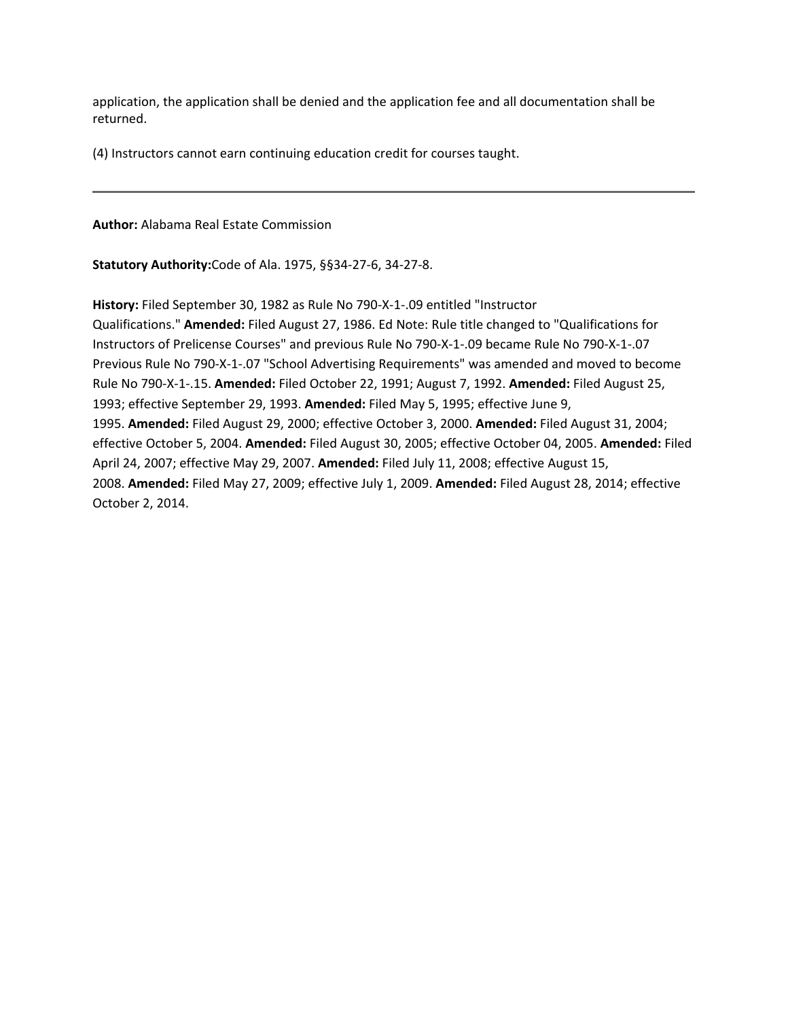application, the application shall be denied and the application fee and all documentation shall be returned.

(4) Instructors cannot earn continuing education credit for courses taught.

**Author:** Alabama Real Estate Commission

**Statutory Authority:**Code of Ala. 1975, §§34-27-6, 34-27-8.

**History:** Filed September 30, 1982 as Rule No 790-X-1-.09 entitled "Instructor Qualifications." **Amended:** Filed August 27, 1986. Ed Note: Rule title changed to "Qualifications for Instructors of Prelicense Courses" and previous Rule No 790-X-1-.09 became Rule No 790-X-1-.07 Previous Rule No 790-X-1-.07 "School Advertising Requirements" was amended and moved to become Rule No 790-X-1-.15. **Amended:** Filed October 22, 1991; August 7, 1992. **Amended:** Filed August 25, 1993; effective September 29, 1993. **Amended:** Filed May 5, 1995; effective June 9, 1995. **Amended:** Filed August 29, 2000; effective October 3, 2000. **Amended:** Filed August 31, 2004; effective October 5, 2004. **Amended:** Filed August 30, 2005; effective October 04, 2005. **Amended:** Filed April 24, 2007; effective May 29, 2007. **Amended:** Filed July 11, 2008; effective August 15, 2008. **Amended:** Filed May 27, 2009; effective July 1, 2009. **Amended:** Filed August 28, 2014; effective October 2, 2014.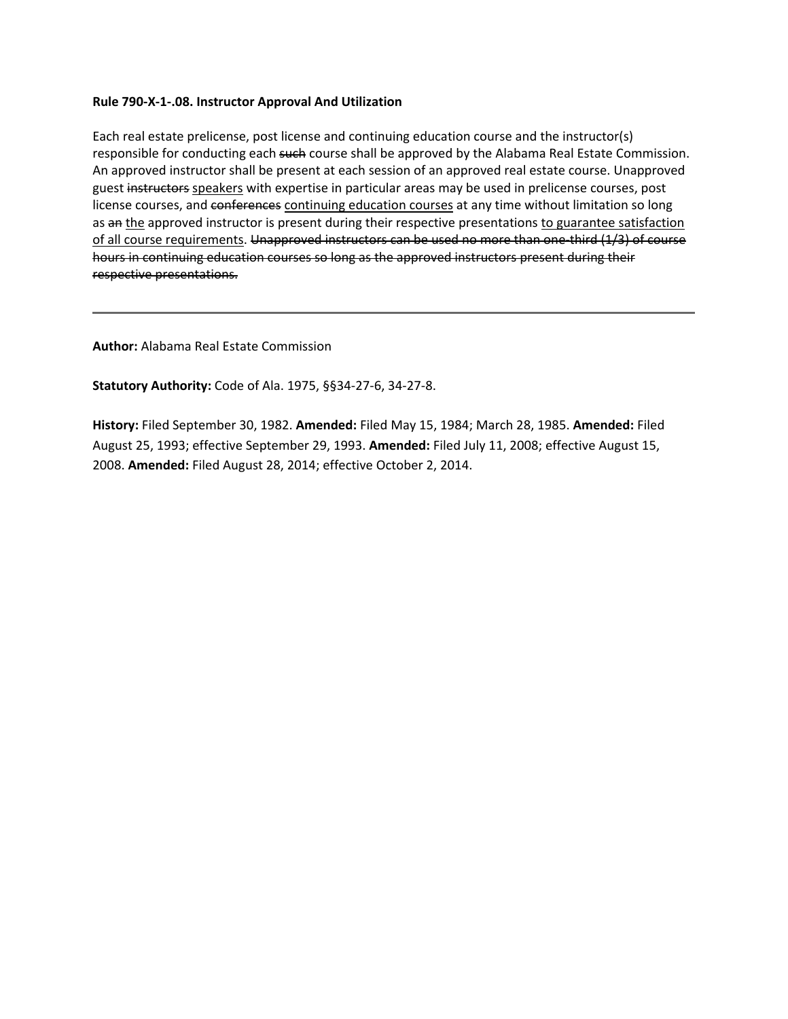#### <span id="page-6-0"></span>**Rule 790-X-1-.08. Instructor Approval And Utilization**

Each real estate prelicense, post license and continuing education course and the instructor(s) responsible for conducting each such course shall be approved by the Alabama Real Estate Commission. An approved instructor shall be present at each session of an approved real estate course. Unapproved guest instructors speakers with expertise in particular areas may be used in prelicense courses, post license courses, and conferences continuing education courses at any time without limitation so long as an the approved instructor is present during their respective presentations to guarantee satisfaction of all course requirements. Unapproved instructors can be used no more than one-third (1/3) of course hours in continuing education courses so long as the approved instructors present during their respective presentations.

**Author:** Alabama Real Estate Commission

**Statutory Authority:** Code of Ala. 1975, §§34-27-6, 34-27-8.

**History:** Filed September 30, 1982. **Amended:** Filed May 15, 1984; March 28, 1985. **Amended:** Filed August 25, 1993; effective September 29, 1993. **Amended:** Filed July 11, 2008; effective August 15, 2008. **Amended:** Filed August 28, 2014; effective October 2, 2014.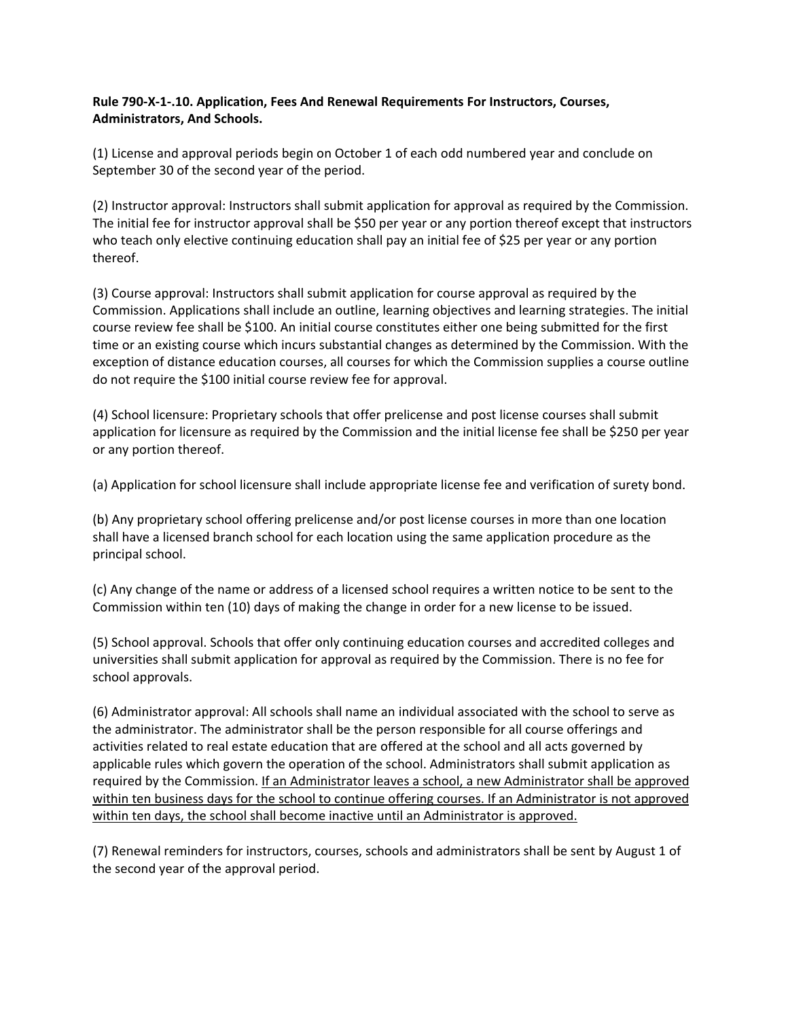## <span id="page-7-0"></span>**Rule 790-X-1-.10. Application, Fees And Renewal Requirements For Instructors, Courses, Administrators, And Schools.**

(1) License and approval periods begin on October 1 of each odd numbered year and conclude on September 30 of the second year of the period.

(2) Instructor approval: Instructors shall submit application for approval as required by the Commission. The initial fee for instructor approval shall be \$50 per year or any portion thereof except that instructors who teach only elective continuing education shall pay an initial fee of \$25 per year or any portion thereof.

(3) Course approval: Instructors shall submit application for course approval as required by the Commission. Applications shall include an outline, learning objectives and learning strategies. The initial course review fee shall be \$100. An initial course constitutes either one being submitted for the first time or an existing course which incurs substantial changes as determined by the Commission. With the exception of distance education courses, all courses for which the Commission supplies a course outline do not require the \$100 initial course review fee for approval.

(4) School licensure: Proprietary schools that offer prelicense and post license courses shall submit application for licensure as required by the Commission and the initial license fee shall be \$250 per year or any portion thereof.

(a) Application for school licensure shall include appropriate license fee and verification of surety bond.

(b) Any proprietary school offering prelicense and/or post license courses in more than one location shall have a licensed branch school for each location using the same application procedure as the principal school.

(c) Any change of the name or address of a licensed school requires a written notice to be sent to the Commission within ten (10) days of making the change in order for a new license to be issued.

(5) School approval. Schools that offer only continuing education courses and accredited colleges and universities shall submit application for approval as required by the Commission. There is no fee for school approvals.

(6) Administrator approval: All schools shall name an individual associated with the school to serve as the administrator. The administrator shall be the person responsible for all course offerings and activities related to real estate education that are offered at the school and all acts governed by applicable rules which govern the operation of the school. Administrators shall submit application as required by the Commission. If an Administrator leaves a school, a new Administrator shall be approved within ten business days for the school to continue offering courses. If an Administrator is not approved within ten days, the school shall become inactive until an Administrator is approved.

(7) Renewal reminders for instructors, courses, schools and administrators shall be sent by August 1 of the second year of the approval period.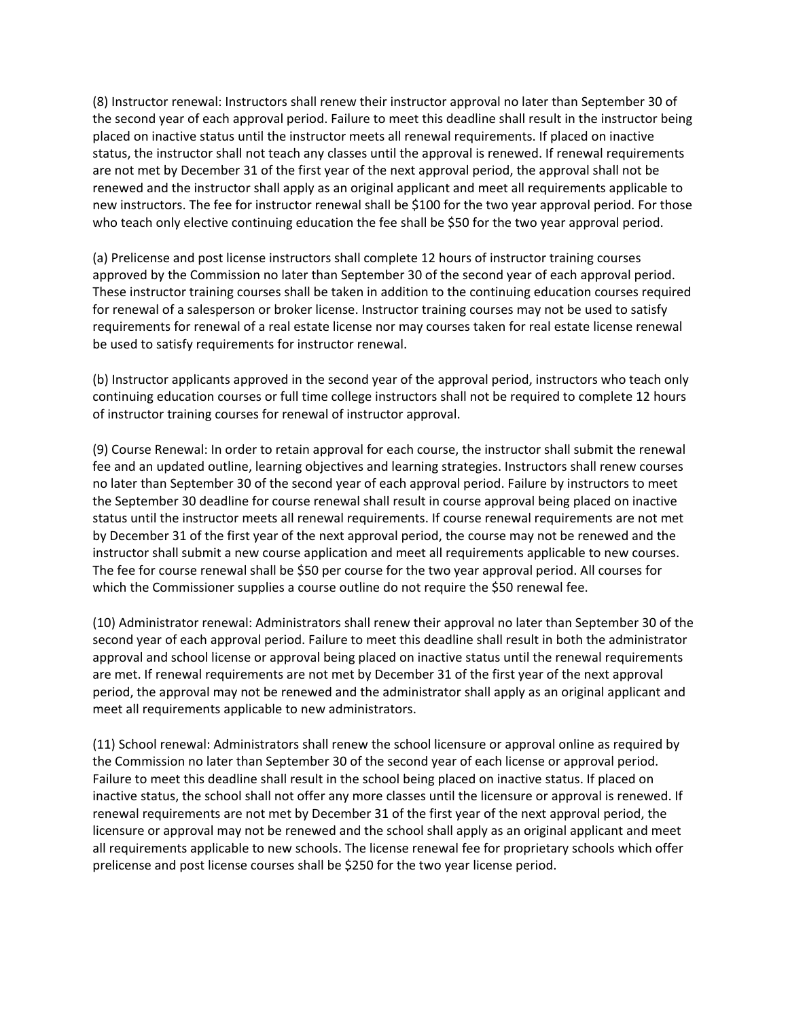(8) Instructor renewal: Instructors shall renew their instructor approval no later than September 30 of the second year of each approval period. Failure to meet this deadline shall result in the instructor being placed on inactive status until the instructor meets all renewal requirements. If placed on inactive status, the instructor shall not teach any classes until the approval is renewed. If renewal requirements are not met by December 31 of the first year of the next approval period, the approval shall not be renewed and the instructor shall apply as an original applicant and meet all requirements applicable to new instructors. The fee for instructor renewal shall be \$100 for the two year approval period. For those who teach only elective continuing education the fee shall be \$50 for the two year approval period.

(a) Prelicense and post license instructors shall complete 12 hours of instructor training courses approved by the Commission no later than September 30 of the second year of each approval period. These instructor training courses shall be taken in addition to the continuing education courses required for renewal of a salesperson or broker license. Instructor training courses may not be used to satisfy requirements for renewal of a real estate license nor may courses taken for real estate license renewal be used to satisfy requirements for instructor renewal.

(b) Instructor applicants approved in the second year of the approval period, instructors who teach only continuing education courses or full time college instructors shall not be required to complete 12 hours of instructor training courses for renewal of instructor approval.

(9) Course Renewal: In order to retain approval for each course, the instructor shall submit the renewal fee and an updated outline, learning objectives and learning strategies. Instructors shall renew courses no later than September 30 of the second year of each approval period. Failure by instructors to meet the September 30 deadline for course renewal shall result in course approval being placed on inactive status until the instructor meets all renewal requirements. If course renewal requirements are not met by December 31 of the first year of the next approval period, the course may not be renewed and the instructor shall submit a new course application and meet all requirements applicable to new courses. The fee for course renewal shall be \$50 per course for the two year approval period. All courses for which the Commissioner supplies a course outline do not require the \$50 renewal fee.

(10) Administrator renewal: Administrators shall renew their approval no later than September 30 of the second year of each approval period. Failure to meet this deadline shall result in both the administrator approval and school license or approval being placed on inactive status until the renewal requirements are met. If renewal requirements are not met by December 31 of the first year of the next approval period, the approval may not be renewed and the administrator shall apply as an original applicant and meet all requirements applicable to new administrators.

(11) School renewal: Administrators shall renew the school licensure or approval online as required by the Commission no later than September 30 of the second year of each license or approval period. Failure to meet this deadline shall result in the school being placed on inactive status. If placed on inactive status, the school shall not offer any more classes until the licensure or approval is renewed. If renewal requirements are not met by December 31 of the first year of the next approval period, the licensure or approval may not be renewed and the school shall apply as an original applicant and meet all requirements applicable to new schools. The license renewal fee for proprietary schools which offer prelicense and post license courses shall be \$250 for the two year license period.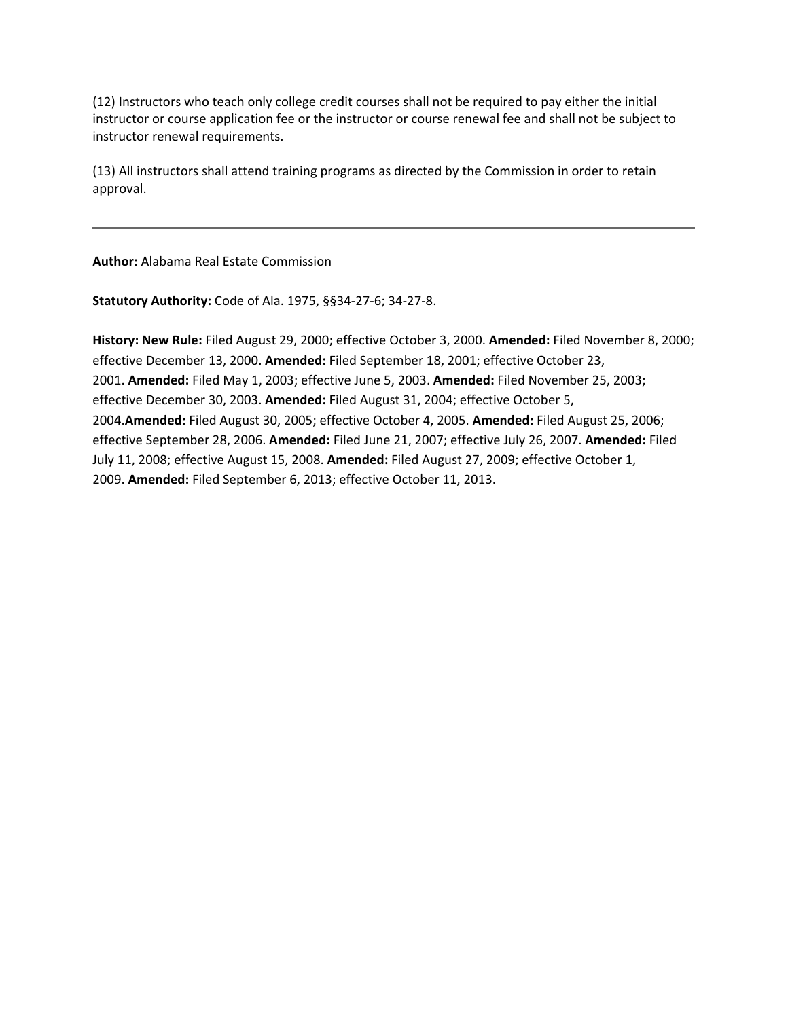(12) Instructors who teach only college credit courses shall not be required to pay either the initial instructor or course application fee or the instructor or course renewal fee and shall not be subject to instructor renewal requirements.

(13) All instructors shall attend training programs as directed by the Commission in order to retain approval.

**Author:** Alabama Real Estate Commission

**Statutory Authority:** Code of Ala. 1975, §§34-27-6; 34-27-8.

**History: New Rule:** Filed August 29, 2000; effective October 3, 2000. **Amended:** Filed November 8, 2000; effective December 13, 2000. **Amended:** Filed September 18, 2001; effective October 23, 2001. **Amended:** Filed May 1, 2003; effective June 5, 2003. **Amended:** Filed November 25, 2003; effective December 30, 2003. **Amended:** Filed August 31, 2004; effective October 5, 2004.**Amended:** Filed August 30, 2005; effective October 4, 2005. **Amended:** Filed August 25, 2006; effective September 28, 2006. **Amended:** Filed June 21, 2007; effective July 26, 2007. **Amended:** Filed July 11, 2008; effective August 15, 2008. **Amended:** Filed August 27, 2009; effective October 1, 2009. **Amended:** Filed September 6, 2013; effective October 11, 2013.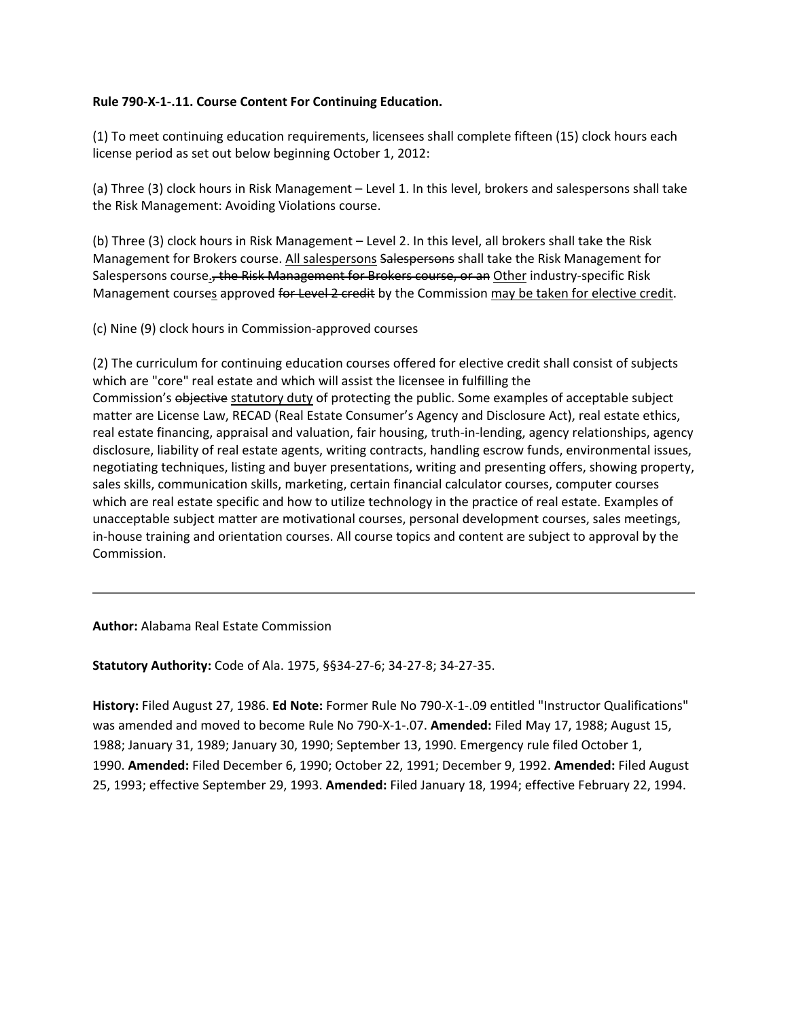#### <span id="page-10-0"></span>**Rule 790-X-1-.11. Course Content For Continuing Education.**

(1) To meet continuing education requirements, licensees shall complete fifteen (15) clock hours each license period as set out below beginning October 1, 2012:

(a) Three (3) clock hours in Risk Management – Level 1. In this level, brokers and salespersons shall take the Risk Management: Avoiding Violations course.

(b) Three (3) clock hours in Risk Management – Level 2. In this level, all brokers shall take the Risk Management for Brokers course. All salespersons Salespersons shall take the Risk Management for Salespersons course<sub>s</sub>, the Risk Management for Brokers course, or an Other industry-specific Risk Management courses approved for Level 2 credit by the Commission may be taken for elective credit.

(c) Nine (9) clock hours in Commission-approved courses

(2) The curriculum for continuing education courses offered for elective credit shall consist of subjects which are "core" real estate and which will assist the licensee in fulfilling the Commission's objective statutory duty of protecting the public. Some examples of acceptable subject matter are License Law, RECAD (Real Estate Consumer's Agency and Disclosure Act), real estate ethics, real estate financing, appraisal and valuation, fair housing, truth-in-lending, agency relationships, agency disclosure, liability of real estate agents, writing contracts, handling escrow funds, environmental issues, negotiating techniques, listing and buyer presentations, writing and presenting offers, showing property, sales skills, communication skills, marketing, certain financial calculator courses, computer courses which are real estate specific and how to utilize technology in the practice of real estate. Examples of unacceptable subject matter are motivational courses, personal development courses, sales meetings, in-house training and orientation courses. All course topics and content are subject to approval by the Commission.

**Author:** Alabama Real Estate Commission

**Statutory Authority:** Code of Ala. 1975, §§34-27-6; 34-27-8; 34-27-35.

**History:** Filed August 27, 1986. **Ed Note:** Former Rule No 790-X-1-.09 entitled "Instructor Qualifications" was amended and moved to become Rule No 790-X-1-.07. **Amended:** Filed May 17, 1988; August 15, 1988; January 31, 1989; January 30, 1990; September 13, 1990. Emergency rule filed October 1, 1990. **Amended:** Filed December 6, 1990; October 22, 1991; December 9, 1992. **Amended:** Filed August 25, 1993; effective September 29, 1993. **Amended:** Filed January 18, 1994; effective February 22, 1994.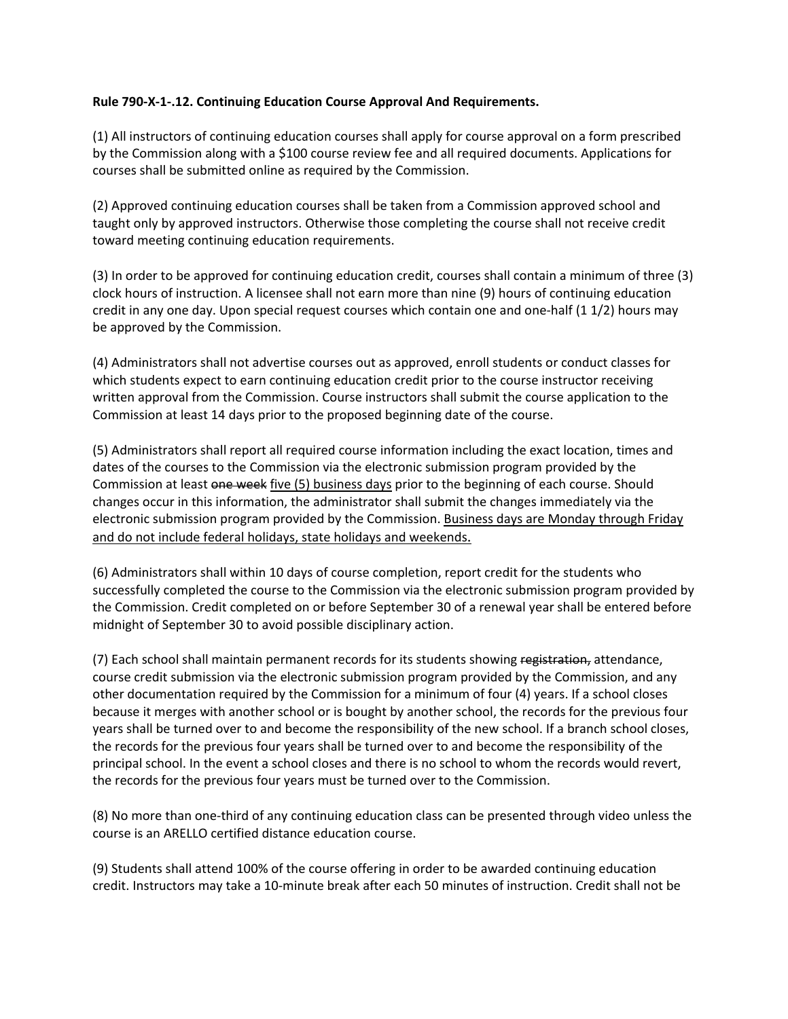### <span id="page-11-0"></span>**Rule 790-X-1-.12. Continuing Education Course Approval And Requirements.**

(1) All instructors of continuing education courses shall apply for course approval on a form prescribed by the Commission along with a \$100 course review fee and all required documents. Applications for courses shall be submitted online as required by the Commission.

(2) Approved continuing education courses shall be taken from a Commission approved school and taught only by approved instructors. Otherwise those completing the course shall not receive credit toward meeting continuing education requirements.

(3) In order to be approved for continuing education credit, courses shall contain a minimum of three (3) clock hours of instruction. A licensee shall not earn more than nine (9) hours of continuing education credit in any one day. Upon special request courses which contain one and one-half (1 1/2) hours may be approved by the Commission.

(4) Administrators shall not advertise courses out as approved, enroll students or conduct classes for which students expect to earn continuing education credit prior to the course instructor receiving written approval from the Commission. Course instructors shall submit the course application to the Commission at least 14 days prior to the proposed beginning date of the course.

(5) Administrators shall report all required course information including the exact location, times and dates of the courses to the Commission via the electronic submission program provided by the Commission at least one week five (5) business days prior to the beginning of each course. Should changes occur in this information, the administrator shall submit the changes immediately via the electronic submission program provided by the Commission. Business days are Monday through Friday and do not include federal holidays, state holidays and weekends.

(6) Administrators shall within 10 days of course completion, report credit for the students who successfully completed the course to the Commission via the electronic submission program provided by the Commission. Credit completed on or before September 30 of a renewal year shall be entered before midnight of September 30 to avoid possible disciplinary action.

(7) Each school shall maintain permanent records for its students showing registration, attendance, course credit submission via the electronic submission program provided by the Commission, and any other documentation required by the Commission for a minimum of four (4) years. If a school closes because it merges with another school or is bought by another school, the records for the previous four years shall be turned over to and become the responsibility of the new school. If a branch school closes, the records for the previous four years shall be turned over to and become the responsibility of the principal school. In the event a school closes and there is no school to whom the records would revert, the records for the previous four years must be turned over to the Commission.

(8) No more than one-third of any continuing education class can be presented through video unless the course is an ARELLO certified distance education course.

(9) Students shall attend 100% of the course offering in order to be awarded continuing education credit. Instructors may take a 10-minute break after each 50 minutes of instruction. Credit shall not be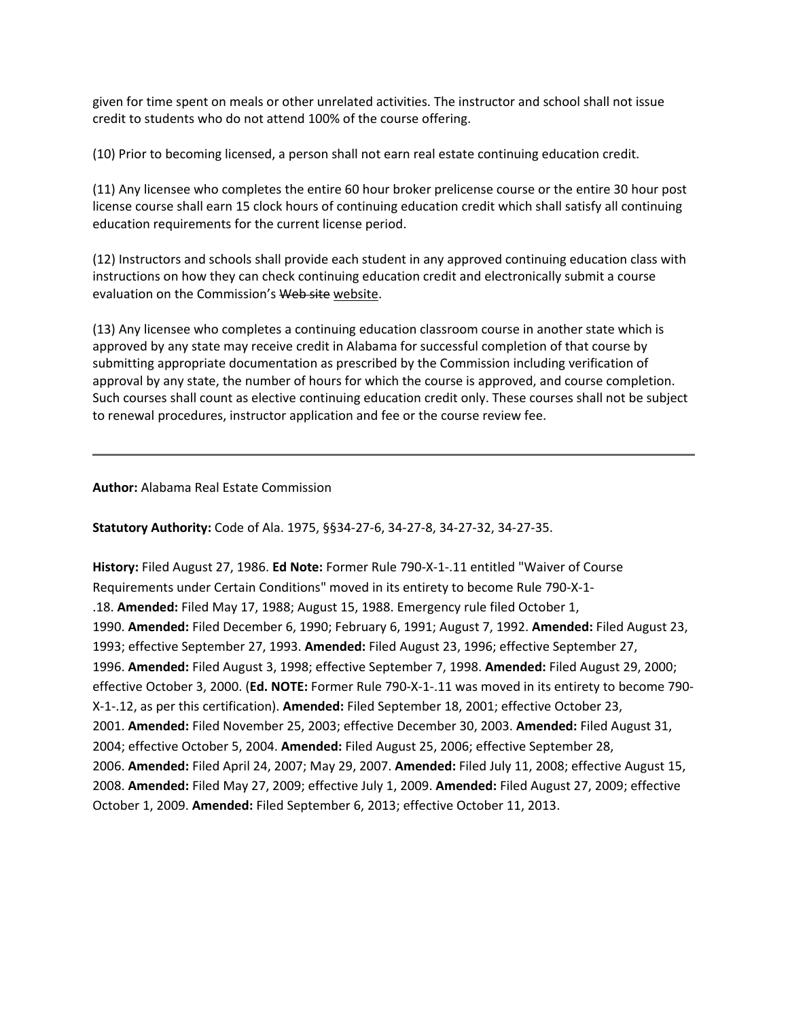given for time spent on meals or other unrelated activities. The instructor and school shall not issue credit to students who do not attend 100% of the course offering.

(10) Prior to becoming licensed, a person shall not earn real estate continuing education credit.

(11) Any licensee who completes the entire 60 hour broker prelicense course or the entire 30 hour post license course shall earn 15 clock hours of continuing education credit which shall satisfy all continuing education requirements for the current license period.

(12) Instructors and schools shall provide each student in any approved continuing education class with instructions on how they can check continuing education credit and electronically submit a course evaluation on the Commission's Web site website.

(13) Any licensee who completes a continuing education classroom course in another state which is approved by any state may receive credit in Alabama for successful completion of that course by submitting appropriate documentation as prescribed by the Commission including verification of approval by any state, the number of hours for which the course is approved, and course completion. Such courses shall count as elective continuing education credit only. These courses shall not be subject to renewal procedures, instructor application and fee or the course review fee.

#### **Author:** Alabama Real Estate Commission

**Statutory Authority:** Code of Ala. 1975, §§34-27-6, 34-27-8, 34-27-32, 34-27-35.

**History:** Filed August 27, 1986. **Ed Note:** Former Rule 790-X-1-.11 entitled "Waiver of Course Requirements under Certain Conditions" moved in its entirety to become Rule 790-X-1- .18. **Amended:** Filed May 17, 1988; August 15, 1988. Emergency rule filed October 1, 1990. **Amended:** Filed December 6, 1990; February 6, 1991; August 7, 1992. **Amended:** Filed August 23, 1993; effective September 27, 1993. **Amended:** Filed August 23, 1996; effective September 27, 1996. **Amended:** Filed August 3, 1998; effective September 7, 1998. **Amended:** Filed August 29, 2000; effective October 3, 2000. (**Ed. NOTE:** Former Rule 790-X-1-.11 was moved in its entirety to become 790- X-1-.12, as per this certification). **Amended:** Filed September 18, 2001; effective October 23, 2001. **Amended:** Filed November 25, 2003; effective December 30, 2003. **Amended:** Filed August 31, 2004; effective October 5, 2004. **Amended:** Filed August 25, 2006; effective September 28, 2006. **Amended:** Filed April 24, 2007; May 29, 2007. **Amended:** Filed July 11, 2008; effective August 15, 2008. **Amended:** Filed May 27, 2009; effective July 1, 2009. **Amended:** Filed August 27, 2009; effective October 1, 2009. **Amended:** Filed September 6, 2013; effective October 11, 2013.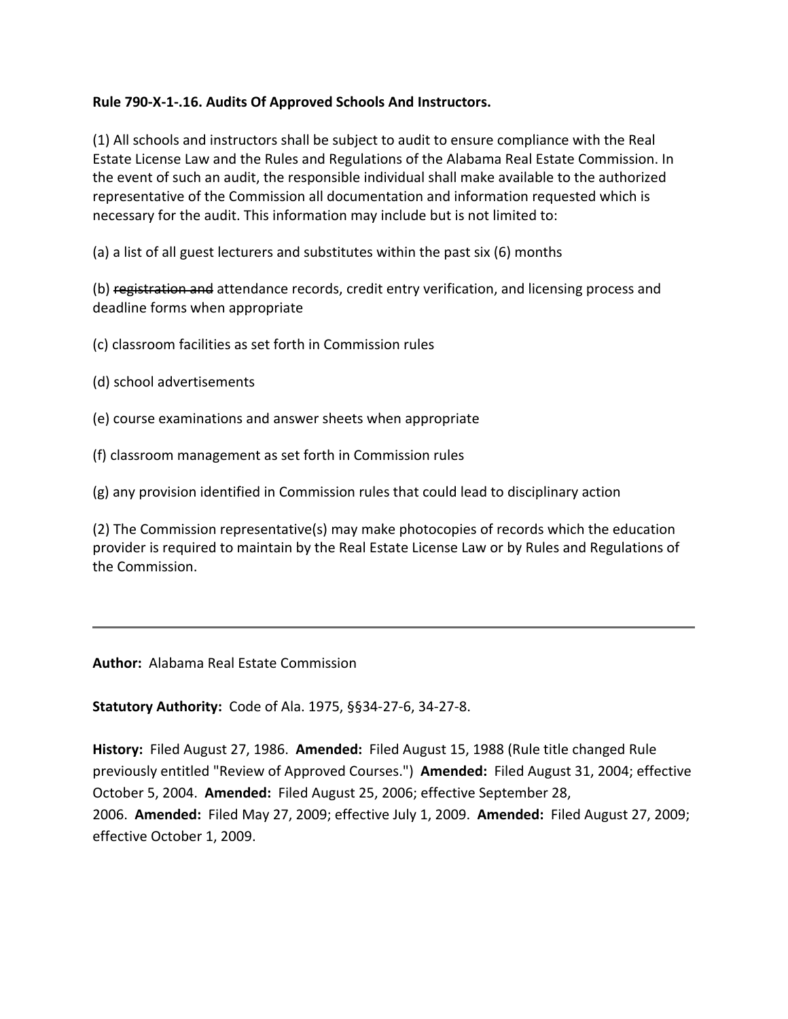# <span id="page-13-0"></span>**Rule 790-X-1-.16. Audits Of Approved Schools And Instructors.**

(1) All schools and instructors shall be subject to audit to ensure compliance with the Real Estate License Law and the Rules and Regulations of the Alabama Real Estate Commission. In the event of such an audit, the responsible individual shall make available to the authorized representative of the Commission all documentation and information requested which is necessary for the audit. This information may include but is not limited to:

(a) a list of all guest lecturers and substitutes within the past six (6) months

(b) registration and attendance records, credit entry verification, and licensing process and deadline forms when appropriate

(c) classroom facilities as set forth in Commission rules

- (d) school advertisements
- (e) course examinations and answer sheets when appropriate
- (f) classroom management as set forth in Commission rules

(g) any provision identified in Commission rules that could lead to disciplinary action

(2) The Commission representative(s) may make photocopies of records which the education provider is required to maintain by the Real Estate License Law or by Rules and Regulations of the Commission.

**Author:** Alabama Real Estate Commission

**Statutory Authority:** Code of Ala. 1975, §§34-27-6, 34-27-8.

**History:** Filed August 27, 1986. **Amended:** Filed August 15, 1988 (Rule title changed Rule previously entitled "Review of Approved Courses.") **Amended:** Filed August 31, 2004; effective October 5, 2004. **Amended:** Filed August 25, 2006; effective September 28, 2006. **Amended:** Filed May 27, 2009; effective July 1, 2009. **Amended:** Filed August 27, 2009; effective October 1, 2009.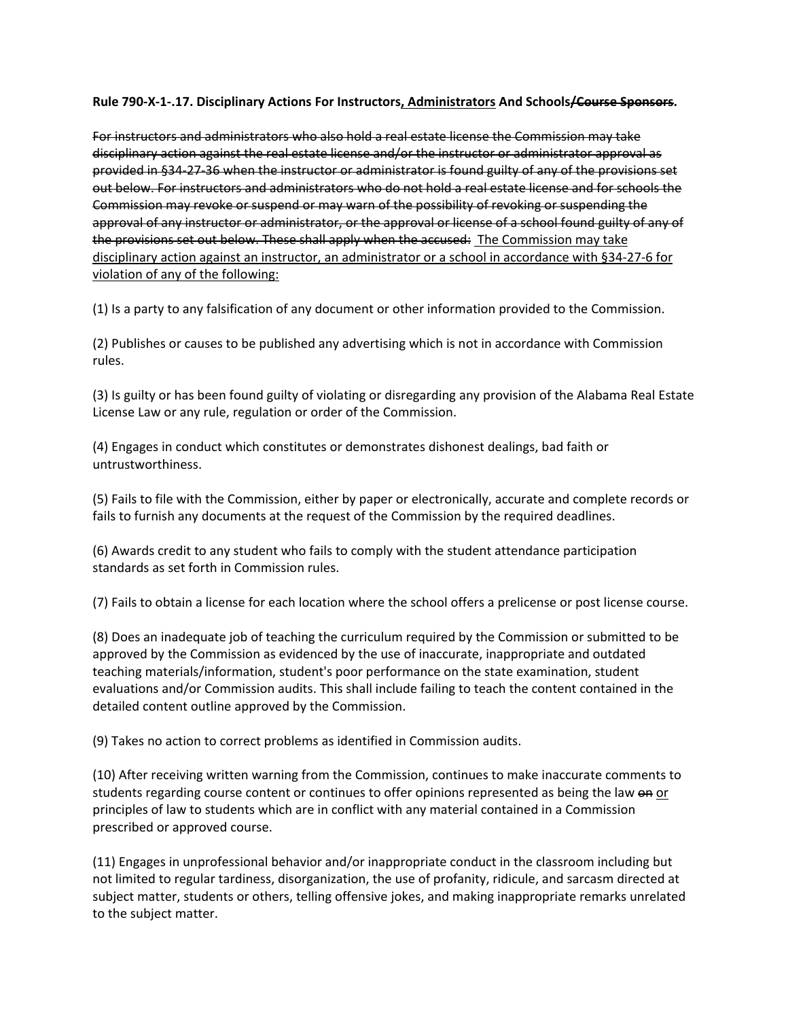<span id="page-14-0"></span>**Rule 790-X-1-.17. Disciplinary Actions For Instructors, Administrators And Schools/Course Sponsors.**

For instructors and administrators who also hold a real estate license the Commission may take disciplinary action against the real estate license and/or the instructor or administrator approval as provided in §34-27-36 when the instructor or administrator is found guilty of any of the provisions set out below. For instructors and administrators who do not hold a real estate license and for schools the Commission may revoke or suspend or may warn of the possibility of revoking or suspending the approval of any instructor or administrator, or the approval or license of a school found guilty of any of the provisions set out below. These shall apply when the accused: The Commission may take disciplinary action against an instructor, an administrator or a school in accordance with §34-27-6 for violation of any of the following:

(1) Is a party to any falsification of any document or other information provided to the Commission.

(2) Publishes or causes to be published any advertising which is not in accordance with Commission rules.

(3) Is guilty or has been found guilty of violating or disregarding any provision of the Alabama Real Estate License Law or any rule, regulation or order of the Commission.

(4) Engages in conduct which constitutes or demonstrates dishonest dealings, bad faith or untrustworthiness.

(5) Fails to file with the Commission, either by paper or electronically, accurate and complete records or fails to furnish any documents at the request of the Commission by the required deadlines.

(6) Awards credit to any student who fails to comply with the student attendance participation standards as set forth in Commission rules.

(7) Fails to obtain a license for each location where the school offers a prelicense or post license course.

(8) Does an inadequate job of teaching the curriculum required by the Commission or submitted to be approved by the Commission as evidenced by the use of inaccurate, inappropriate and outdated teaching materials/information, student's poor performance on the state examination, student evaluations and/or Commission audits. This shall include failing to teach the content contained in the detailed content outline approved by the Commission.

(9) Takes no action to correct problems as identified in Commission audits.

(10) After receiving written warning from the Commission, continues to make inaccurate comments to students regarding course content or continues to offer opinions represented as being the law on or principles of law to students which are in conflict with any material contained in a Commission prescribed or approved course.

(11) Engages in unprofessional behavior and/or inappropriate conduct in the classroom including but not limited to regular tardiness, disorganization, the use of profanity, ridicule, and sarcasm directed at subject matter, students or others, telling offensive jokes, and making inappropriate remarks unrelated to the subject matter.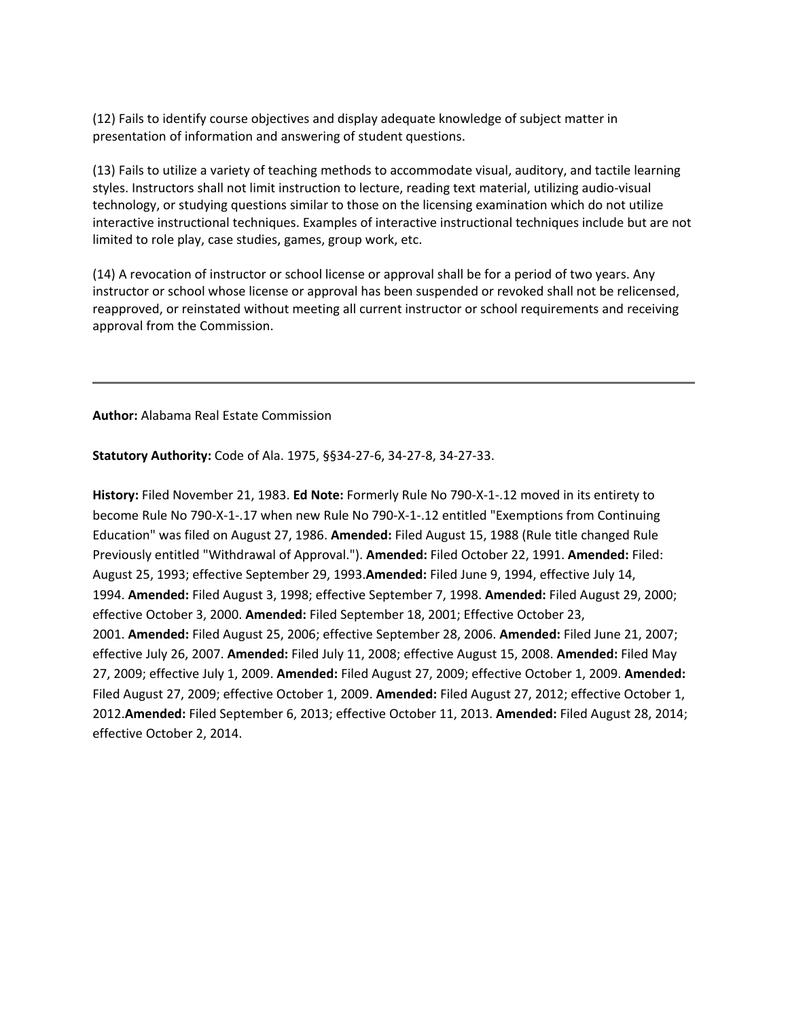(12) Fails to identify course objectives and display adequate knowledge of subject matter in presentation of information and answering of student questions.

(13) Fails to utilize a variety of teaching methods to accommodate visual, auditory, and tactile learning styles. Instructors shall not limit instruction to lecture, reading text material, utilizing audio-visual technology, or studying questions similar to those on the licensing examination which do not utilize interactive instructional techniques. Examples of interactive instructional techniques include but are not limited to role play, case studies, games, group work, etc.

(14) A revocation of instructor or school license or approval shall be for a period of two years. Any instructor or school whose license or approval has been suspended or revoked shall not be relicensed, reapproved, or reinstated without meeting all current instructor or school requirements and receiving approval from the Commission.

**Author:** Alabama Real Estate Commission

**Statutory Authority:** Code of Ala. 1975, §§34-27-6, 34-27-8, 34-27-33.

**History:** Filed November 21, 1983. **Ed Note:** Formerly Rule No 790-X-1-.12 moved in its entirety to become Rule No 790-X-1-.17 when new Rule No 790-X-1-.12 entitled "Exemptions from Continuing Education" was filed on August 27, 1986. **Amended:** Filed August 15, 1988 (Rule title changed Rule Previously entitled "Withdrawal of Approval."). **Amended:** Filed October 22, 1991. **Amended:** Filed: August 25, 1993; effective September 29, 1993.**Amended:** Filed June 9, 1994, effective July 14, 1994. **Amended:** Filed August 3, 1998; effective September 7, 1998. **Amended:** Filed August 29, 2000; effective October 3, 2000. **Amended:** Filed September 18, 2001; Effective October 23, 2001. **Amended:** Filed August 25, 2006; effective September 28, 2006. **Amended:** Filed June 21, 2007; effective July 26, 2007. **Amended:** Filed July 11, 2008; effective August 15, 2008. **Amended:** Filed May 27, 2009; effective July 1, 2009. **Amended:** Filed August 27, 2009; effective October 1, 2009. **Amended:** Filed August 27, 2009; effective October 1, 2009. **Amended:** Filed August 27, 2012; effective October 1, 2012.**Amended:** Filed September 6, 2013; effective October 11, 2013. **Amended:** Filed August 28, 2014; effective October 2, 2014.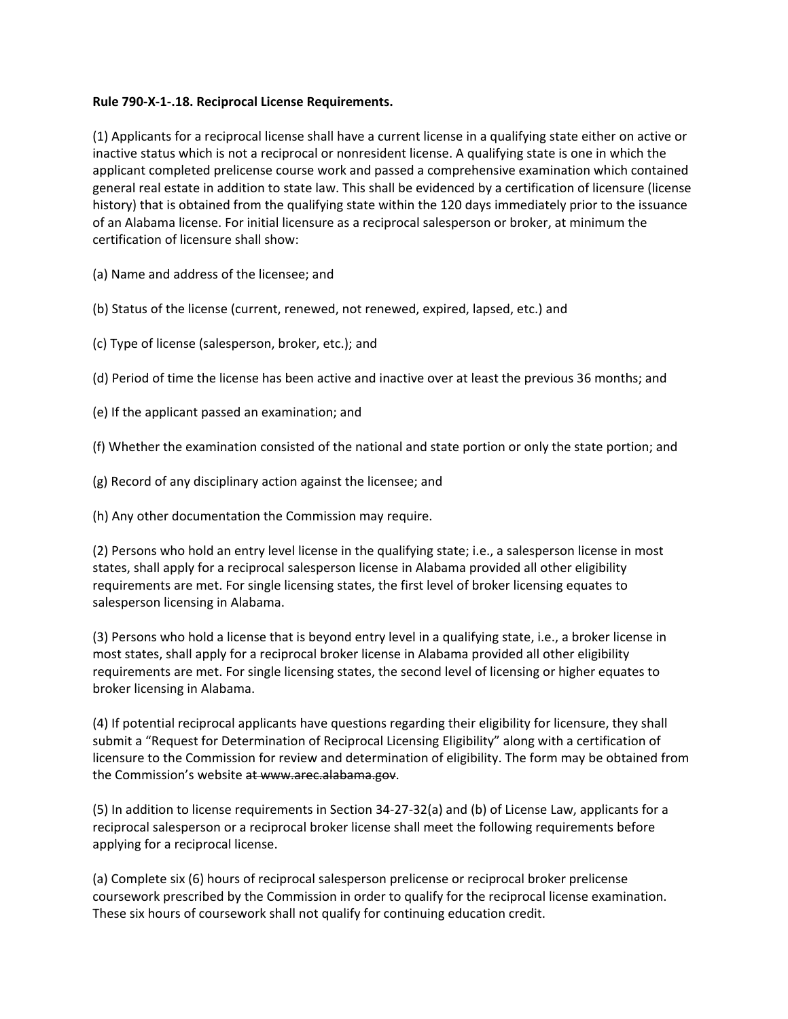### <span id="page-16-0"></span>**Rule 790-X-1-.18. Reciprocal License Requirements.**

(1) Applicants for a reciprocal license shall have a current license in a qualifying state either on active or inactive status which is not a reciprocal or nonresident license. A qualifying state is one in which the applicant completed prelicense course work and passed a comprehensive examination which contained general real estate in addition to state law. This shall be evidenced by a certification of licensure (license history) that is obtained from the qualifying state within the 120 days immediately prior to the issuance of an Alabama license. For initial licensure as a reciprocal salesperson or broker, at minimum the certification of licensure shall show:

(a) Name and address of the licensee; and

(b) Status of the license (current, renewed, not renewed, expired, lapsed, etc.) and

(c) Type of license (salesperson, broker, etc.); and

(d) Period of time the license has been active and inactive over at least the previous 36 months; and

(e) If the applicant passed an examination; and

(f) Whether the examination consisted of the national and state portion or only the state portion; and

(g) Record of any disciplinary action against the licensee; and

(h) Any other documentation the Commission may require.

(2) Persons who hold an entry level license in the qualifying state; i.e., a salesperson license in most states, shall apply for a reciprocal salesperson license in Alabama provided all other eligibility requirements are met. For single licensing states, the first level of broker licensing equates to salesperson licensing in Alabama.

(3) Persons who hold a license that is beyond entry level in a qualifying state, i.e., a broker license in most states, shall apply for a reciprocal broker license in Alabama provided all other eligibility requirements are met. For single licensing states, the second level of licensing or higher equates to broker licensing in Alabama.

(4) If potential reciprocal applicants have questions regarding their eligibility for licensure, they shall submit a "Request for Determination of Reciprocal Licensing Eligibility" along with a certification of licensure to the Commission for review and determination of eligibility. The form may be obtained from the Commission's website at [www.arec.alabama.gov.](http://www.arec.alabama.gov/)

(5) In addition to license requirements in Section 34-27-32(a) and (b) of License Law, applicants for a reciprocal salesperson or a reciprocal broker license shall meet the following requirements before applying for a reciprocal license.

(a) Complete six (6) hours of reciprocal salesperson prelicense or reciprocal broker prelicense coursework prescribed by the Commission in order to qualify for the reciprocal license examination. These six hours of coursework shall not qualify for continuing education credit.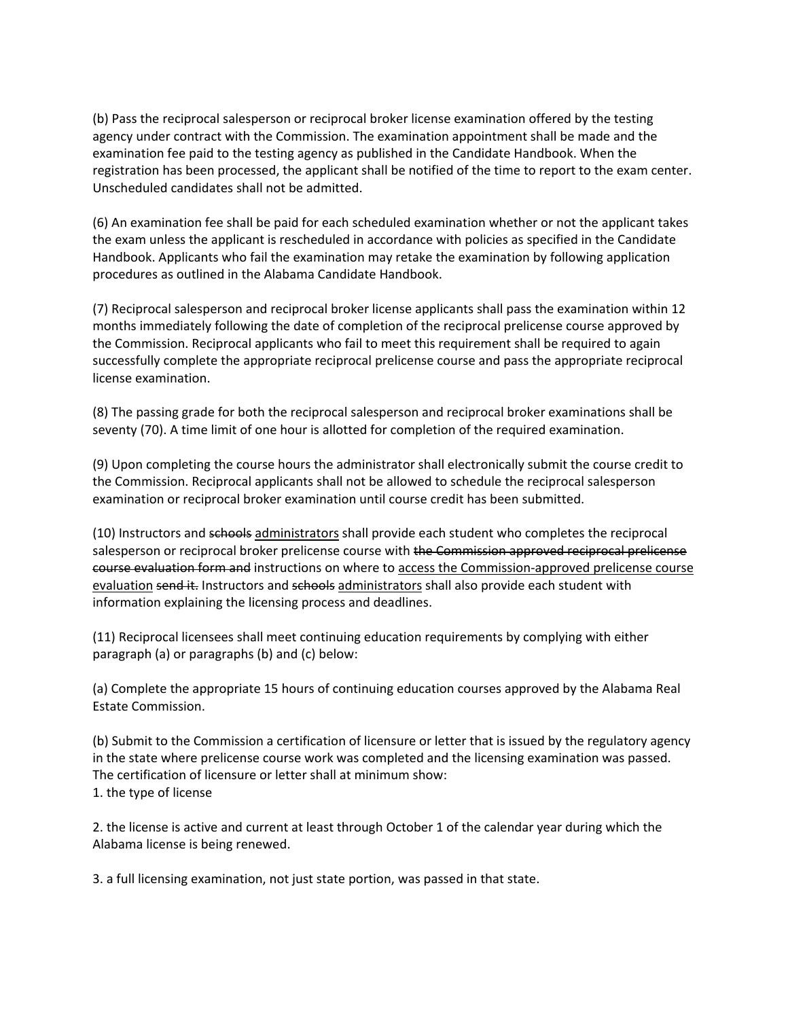(b) Pass the reciprocal salesperson or reciprocal broker license examination offered by the testing agency under contract with the Commission. The examination appointment shall be made and the examination fee paid to the testing agency as published in the Candidate Handbook. When the registration has been processed, the applicant shall be notified of the time to report to the exam center. Unscheduled candidates shall not be admitted.

(6) An examination fee shall be paid for each scheduled examination whether or not the applicant takes the exam unless the applicant is rescheduled in accordance with policies as specified in the Candidate Handbook. Applicants who fail the examination may retake the examination by following application procedures as outlined in the Alabama Candidate Handbook.

(7) Reciprocal salesperson and reciprocal broker license applicants shall pass the examination within 12 months immediately following the date of completion of the reciprocal prelicense course approved by the Commission. Reciprocal applicants who fail to meet this requirement shall be required to again successfully complete the appropriate reciprocal prelicense course and pass the appropriate reciprocal license examination.

(8) The passing grade for both the reciprocal salesperson and reciprocal broker examinations shall be seventy (70). A time limit of one hour is allotted for completion of the required examination.

(9) Upon completing the course hours the administrator shall electronically submit the course credit to the Commission. Reciprocal applicants shall not be allowed to schedule the reciprocal salesperson examination or reciprocal broker examination until course credit has been submitted.

(10) Instructors and schools administrators shall provide each student who completes the reciprocal salesperson or reciprocal broker prelicense course with the Commission approved reciprocal prelicense course evaluation form and instructions on where to access the Commission-approved prelicense course evaluation send it. Instructors and schools administrators shall also provide each student with information explaining the licensing process and deadlines.

(11) Reciprocal licensees shall meet continuing education requirements by complying with either paragraph (a) or paragraphs (b) and (c) below:

(a) Complete the appropriate 15 hours of continuing education courses approved by the Alabama Real Estate Commission.

(b) Submit to the Commission a certification of licensure or letter that is issued by the regulatory agency in the state where prelicense course work was completed and the licensing examination was passed. The certification of licensure or letter shall at minimum show: 1. the type of license

2. the license is active and current at least through October 1 of the calendar year during which the Alabama license is being renewed.

3. a full licensing examination, not just state portion, was passed in that state.